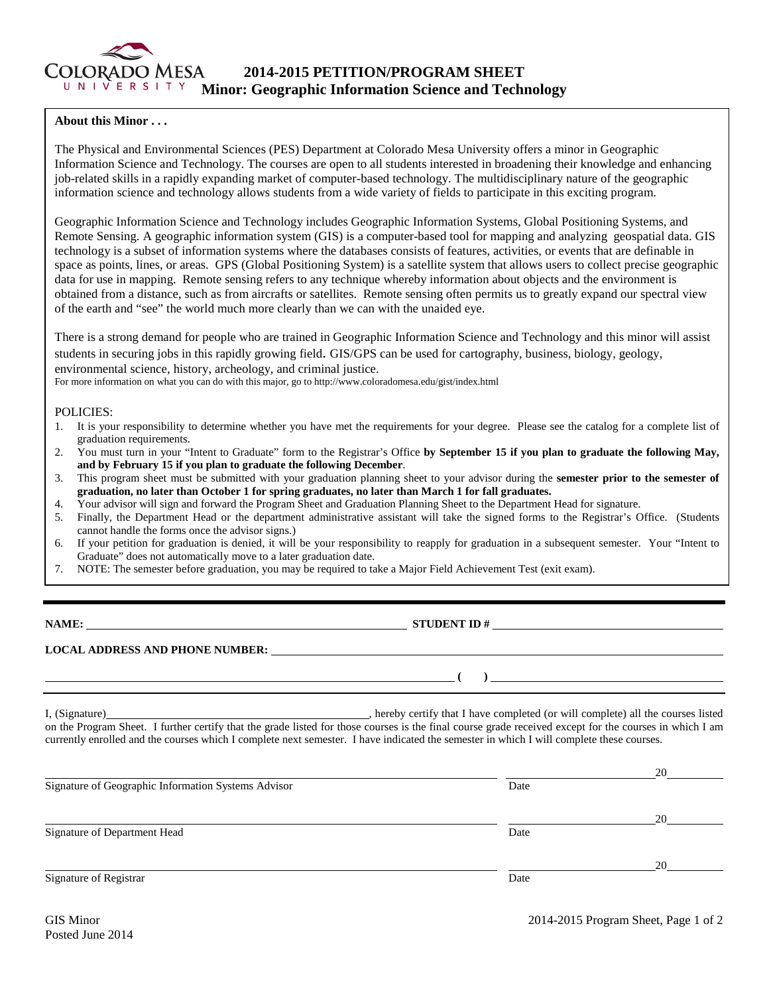

## **About this Minor . . .**

The Physical and Environmental Sciences (PES) Department at Colorado Mesa University offers a minor in Geographic Information Science and Technology. The courses are open to all students interested in broadening their knowledge and enhancing job-related skills in a rapidly expanding market of computer-based technology. The multidisciplinary nature of the geographic information science and technology allows students from a wide variety of fields to participate in this exciting program.

Geographic Information Science and Technology includes Geographic Information Systems, Global Positioning Systems, and Remote Sensing. A geographic information system (GIS) is a computer-based tool for mapping and analyzing geospatial data. GIS technology is a subset of information systems where the databases consists of features, activities, or events that are definable in space as points, lines, or areas. GPS (Global Positioning System) is a satellite system that allows users to collect precise geographic data for use in mapping. Remote sensing refers to any technique whereby information about objects and the environment is obtained from a distance, such as from aircrafts or satellites. Remote sensing often permits us to greatly expand our spectral view of the earth and "see" the world much more clearly than we can with the unaided eye.

There is a strong demand for people who are trained in Geographic Information Science and Technology and this minor will assist students in securing jobs in this rapidly growing field. GIS/GPS can be used for cartography, business, biology, geology, environmental science, history, archeology, and criminal justice. For more information on what you can do with this major, go to http://www.coloradomesa.edu/gist/index.html

## POLICIES:

- 1. It is your responsibility to determine whether you have met the requirements for your degree. Please see the catalog for a complete list of graduation requirements.
- 2. You must turn in your "Intent to Graduate" form to the Registrar's Office **by September 15 if you plan to graduate the following May, and by February 15 if you plan to graduate the following December**.
- 3. This program sheet must be submitted with your graduation planning sheet to your advisor during the **semester prior to the semester of graduation, no later than October 1 for spring graduates, no later than March 1 for fall graduates.**
- 4. Your advisor will sign and forward the Program Sheet and Graduation Planning Sheet to the Department Head for signature.
- 5. Finally, the Department Head or the department administrative assistant will take the signed forms to the Registrar's Office. (Students cannot handle the forms once the advisor signs.)
- 6. If your petition for graduation is denied, it will be your responsibility to reapply for graduation in a subsequent semester. Your "Intent to Graduate" does not automatically move to a later graduation date.
- 7. NOTE: The semester before graduation, you may be required to take a Major Field Achievement Test (exit exam).

**NAME: STUDENT ID #**

**( )** 

## **LOCAL ADDRESS AND PHONE NUMBER:**

I, (Signature) , hereby certify that I have completed (or will complete) all the courses listed on the Program Sheet. I further certify that the grade listed for those courses is the final course grade received except for the courses in which I am currently enrolled and the courses which I complete next semester. I have indicated the semester in which I will complete these courses.

|                                                     |      | 20 |
|-----------------------------------------------------|------|----|
| Signature of Geographic Information Systems Advisor | Date |    |
|                                                     |      | 20 |
| Signature of Department Head                        | Date |    |
|                                                     |      | 20 |
| Signature of Registrar                              | Date |    |